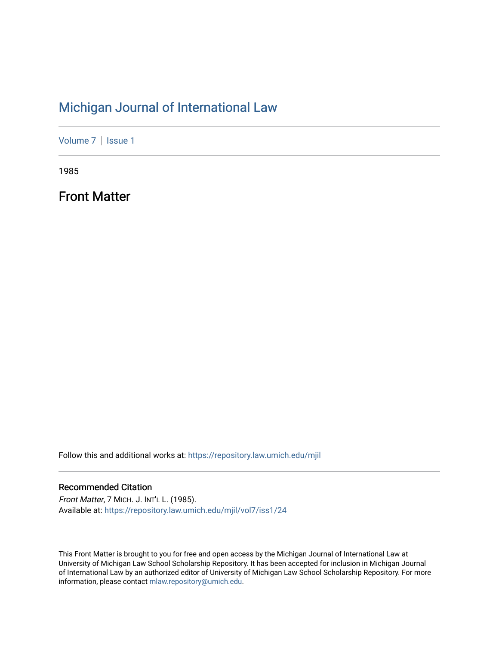## [Michigan Journal of International Law](https://repository.law.umich.edu/mjil)

[Volume 7](https://repository.law.umich.edu/mjil/vol7) | Issue 1

1985

Front Matter

Follow this and additional works at: [https://repository.law.umich.edu/mjil](https://repository.law.umich.edu/mjil?utm_source=repository.law.umich.edu%2Fmjil%2Fvol7%2Fiss1%2F24&utm_medium=PDF&utm_campaign=PDFCoverPages) 

### Recommended Citation

Front Matter, 7 MICH. J. INT'L L. (1985). Available at: [https://repository.law.umich.edu/mjil/vol7/iss1/24](https://repository.law.umich.edu/mjil/vol7/iss1/24?utm_source=repository.law.umich.edu%2Fmjil%2Fvol7%2Fiss1%2F24&utm_medium=PDF&utm_campaign=PDFCoverPages) 

This Front Matter is brought to you for free and open access by the Michigan Journal of International Law at University of Michigan Law School Scholarship Repository. It has been accepted for inclusion in Michigan Journal of International Law by an authorized editor of University of Michigan Law School Scholarship Repository. For more information, please contact [mlaw.repository@umich.edu](mailto:mlaw.repository@umich.edu).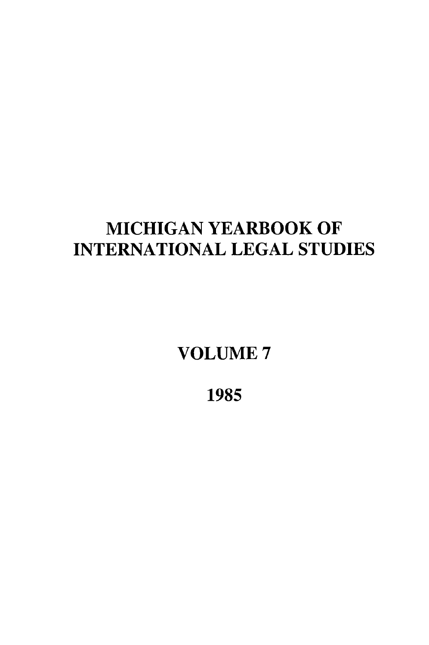## **MICHIGAN** YEARBOOK OF **INTERNATIONAL LEGAL STUDIES**

**VOLUME 7**

**1985**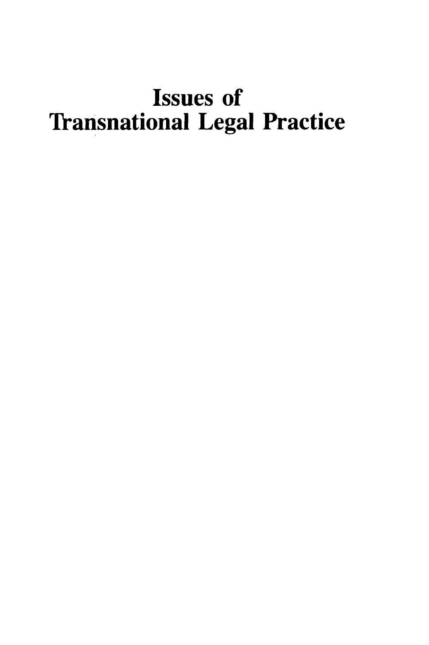# Issues of Transnational Legal Practice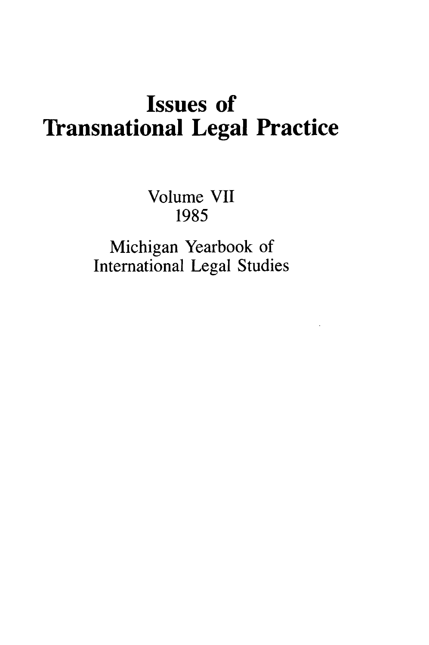## Issues of Transnational Legal Practice

Volume **VII 1985**

Michigan Yearbook of International Legal Studies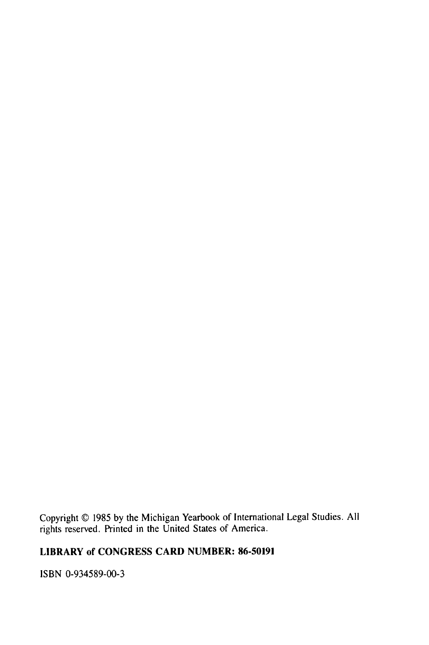Copyright © 1985 by the Michigan Yearbook of International Legal Studies. All rights reserved. Printed in the United States of America.

### LIBRARY of CONGRESS CARD **NUMBER: 86-50191**

ISBN 0-934589-00-3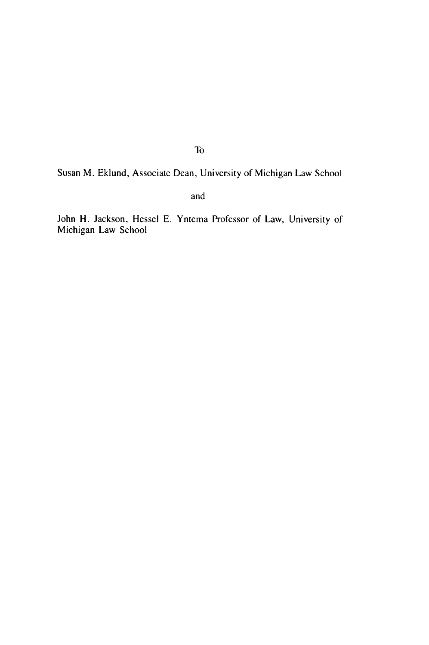Susan M. Eklund, Associate Dean, University of Michigan Law School

and

John H. Jackson, Hessel E. Yntema Professor of Law, University of Michigan Law School

To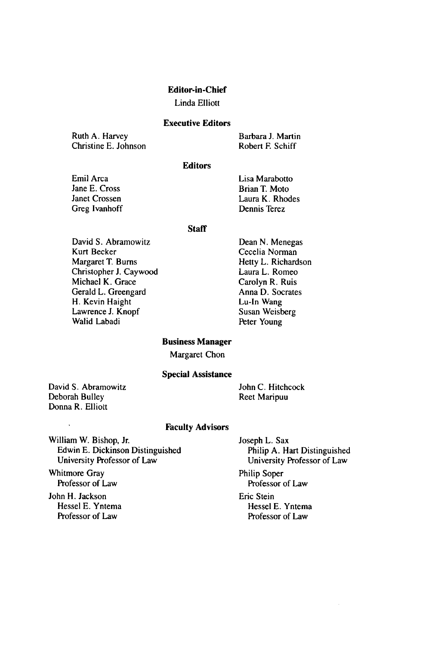#### **Editor-in-Chief**

#### Linda Elliott

#### **Executive Editors**

Ruth A. Harvey Christine E. Johnson Barbara **J.** Martin Robert F. Schiff

#### **Editors**

Emil Arca Jane E. Cross Janet Crossen Greg Ivanhoff Lisa Marabotto Brian T. Moto Laura K. Rhodes Dennis Terez

#### **Staff**

David S. Abramowitz Kurt Becker Margaret T. Bums Christopher J. Caywood Michael K. Grace Gerald L. Greengard H. Kevin Haight Lawrence J. Knopf Walid Labadi

Dean **N.** Menegas Cecelia Norman Hetty L. Richardson Laura L. Romeo Carolyn R. Ruis Anna D. Socrates Lu-In Wang Susan Weisberg Peter Young

#### **Business Manager**

Margaret Chon

#### **Special Assistance**

David S. Abramowitz Deborah Bulley Donna R. Elliott

John C. Hitchcock Reet Maripuu

#### **Faculty Advisors**

William W. Bishop, Jr. Edwin E. Dickinson Distinguished University Professor of Law

Whitmore Gray Professor of Law

John H. Jackson Hessel E. Yntema Professor of Law

Joseph L. Sax Philip A. Hart Distinguished University Professor of Law Philip Soper Professor of Law Eric Stein Hessel E. Yntema Professor of Law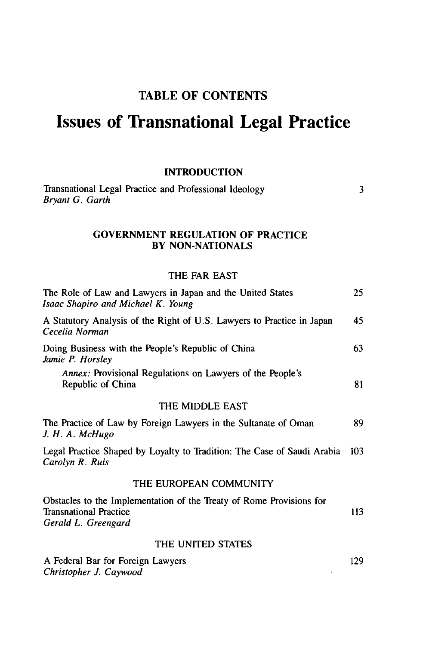### TABLE OF **CONTENTS**

## **Issues of Transnational Legal Practice**

#### **INTRODUCTION**

| Transnational Legal Practice and Professional Ideology |  |
|--------------------------------------------------------|--|
| Bryant G. Garth                                        |  |

#### **GOVERNMENT REGULATION OF PRACTICE BY NON-NATIONALS**

#### **THE FAR EAST**

| The Role of Law and Lawyers in Japan and the United States<br>Isaac Shapiro and Michael K. Young                             | 25  |
|------------------------------------------------------------------------------------------------------------------------------|-----|
| A Statutory Analysis of the Right of U.S. Lawyers to Practice in Japan<br>Cecelia Norman                                     | 45  |
| Doing Business with the People's Republic of China<br>Jamie P. Horsley                                                       | 63  |
| Annex: Provisional Regulations on Lawyers of the People's<br>Republic of China                                               | 81  |
| THE MIDDLE EAST                                                                                                              |     |
| The Practice of Law by Foreign Lawyers in the Sultanate of Oman<br>J. H. A. McHugo                                           | 89  |
| Legal Practice Shaped by Loyalty to Tradition: The Case of Saudi Arabia<br>Carolyn R. Ruis                                   | 103 |
| THE EUROPEAN COMMUNITY                                                                                                       |     |
| Obstacles to the Implementation of the Treaty of Rome Provisions for<br><b>Transnational Practice</b><br>Gerald L. Greengard | 113 |
| THE UNITED STATES                                                                                                            |     |
| A Federal Bar for Foreign Lawyers                                                                                            | 129 |

 $\ddot{\phantom{1}}$ 

*Christopher J. Caywood*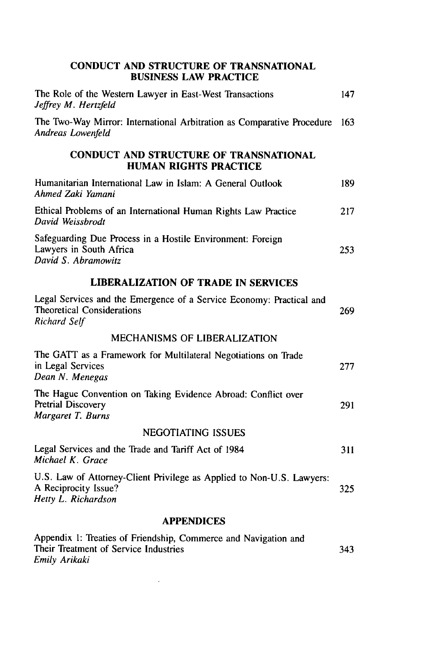### **CONDUCT AND STRUCTURE OF TRANSNATIONAL BUSINESS LAW PRACTICE** The Role of the Western Lawyer in East-West Transactions 147 *Jeffrey M. Hertzfeld* The Two-Way Mirror: International Arbitration as Comparative Procedure **163** *Andreas Lowenfeld* **CONDUCT AND STRUCTURE OF TRANSNATIONAL HUMAN RIGHTS PRACTICE** Humanitarian International Law in Islam: A General Outlook 189 *Ahmed Zaki Yamani* Ethical Problems of an International Human Rights Law Practice 217 David Weissbrodt Safeguarding Due Process in a Hostile Environment: Foreign Lawyers in South Africa 253 David S. *Abramowitz* **LIBERALIZATION OF TRADE IN SERVICES** Legal Services and the Emergence of a Service Economy: Practical and Theoretical Considerations 269 Richard *Self* MECHANISMS OF LIBERALIZATION The GATT as a Framework for Multilateral Negotiations on Trade in Legal Services 277 *Dean N. Menegas* The Hague Convention on Taking Evidence Abroad: Conflict over Pretrial Discovery 291 Margaret *T. Burns* NEGOTIATING ISSUES Legal Services and the Trade and Tariff Act of 1984 311 *Michael K. Grace* U.S. Law of Attorney-Client Privilege as Applied to Non-U.S. Lawyers: A Reciprocity Issue? 325 *Hetty L. Richardson* **APPENDICES** Appendix **1:** Treaties of Friendship, Commerce and Navigation and

Their Treatment of Service Industries 343 *Emily* Arikaki